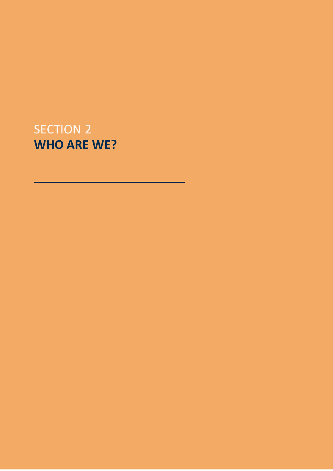# SECTION 2 **WHO ARE WE?**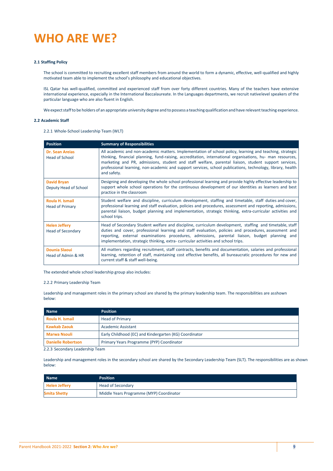# **WHO ARE WE?**

#### **2.1 Staffing Policy**

The school is committed to recruiting excellent staff members from around the world to form a dynamic, effective, well-qualified and highly motivated team able to implement the school's philosophy and educational objectives.

ISL Qatar has well-qualified, committed and experienced staff from over forty different countries. Many of the teachers have extensive international experience, especially in the International Baccalaureate. In the Languages departments, we recruit nativelevel speakers of the particular language who are also fluent in English.

We expect staff to be holders of an appropriate university degree and to possess a teaching qualification and have relevant teaching experience.

#### **2.2 Academic Staff**

2.2.1 Whole-School Leadership Team (WLT)

| <b>Position</b>                                  | <b>Summary of Responsibilities</b>                                                                                                                                                                                                                                                                                                                                                                                                                          |
|--------------------------------------------------|-------------------------------------------------------------------------------------------------------------------------------------------------------------------------------------------------------------------------------------------------------------------------------------------------------------------------------------------------------------------------------------------------------------------------------------------------------------|
| <b>Dr. Sean Arejas</b><br><b>Head of School</b>  | All academic and non-academic matters. Implementation of school policy, learning and teaching, strategic<br>thinking, financial planning, fund-raising, accreditation, international organisations, hu- man resources,<br>marketing and PR, admissions, student and staff welfare, parental liaison, student support services,<br>professional learning, non-academic and support services, school publications, technology, library, health<br>and safety. |
| <b>David Bryan</b><br>Deputy Head of School      | Designing and developing the whole school professional learning and provide highly effective leadership to<br>support whole school operations for the continuous development of our identities as learners and best<br>practice in the classroom                                                                                                                                                                                                            |
| Roula H. Ismail<br><b>Head of Primary</b>        | Student welfare and discipline, curriculum development, staffing and timetable, staff duties and cover,<br>professional learning and staff evaluation, policies and procedures, assessment and reporting, admissions,<br>parental liaison, budget planning and implementation, strategic thinking, extra-curricular activities and<br>school trips.                                                                                                         |
| <b>Helen Jeffery</b><br><b>Head of Secondary</b> | Head of Secondary Student welfare and discipline, curriculum development, staffing and timetable, staff<br>duties and cover, professional learning and staff evaluation, policies and procedures, assessment and<br>reporting, external examinations procedures, admissions, parental liaison, budget planning and<br>implementation, strategic thinking, extra-curricular activities and school trips.                                                     |
| Dounia Slaoui<br>Head of Admin & HR              | All matters regarding recruitment, staff contracts, benefits and documentation, salaries and professional<br>learning, retention of staff, maintaining cost effective benefits, all bureaucratic procedures for new and<br>current staff & staff well-being.                                                                                                                                                                                                |

The extended whole school leadership group also includes:

#### 2.2.2 Primary Leadership Team

Leadership and management roles in the primary school are shared by the primary leadership team. The responsibilities are asshown below:

| <b>Name</b>               | <b>Position</b>                                        |  |
|---------------------------|--------------------------------------------------------|--|
| Roula H. Ismail           | <b>Head of Primary</b>                                 |  |
| Kawkab Zaouk              | <b>Academic Assistant</b>                              |  |
| <b>Marwa Nsouli</b>       | Early Childhood (EC) and Kindergarten (KG) Coordinator |  |
| <b>Danielle Robertson</b> | Primary Years Programme (PYP) Coordinator              |  |

2.2.3 Secondary Leadership Team

Leadership and management roles in the secondary school are shared by the Secondary Leadership Team (SLT). The responsibilities are as shown below:

| Name                 | <b>Position</b>                          |  |
|----------------------|------------------------------------------|--|
| <b>Helen Jeffery</b> | <b>Head of Secondary</b>                 |  |
| <b>Smita Shetty</b>  | Middle Years Programme (MYP) Coordinator |  |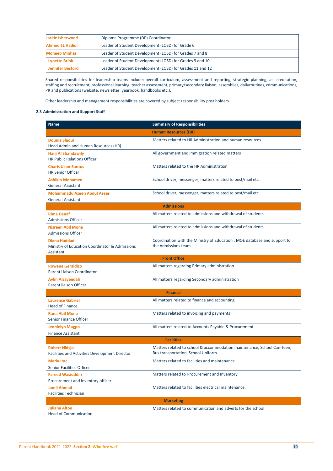| Jackie Isherwood                                                                 | Diploma Programme (DP) Coordinator                        |  |
|----------------------------------------------------------------------------------|-----------------------------------------------------------|--|
| <b>Ahmed EL Hadidi</b>                                                           | Leader of Student Development (LOSD) for Grade 6          |  |
| <b>Moneeb Minhas</b>                                                             | Leader of Student Development (LOSD) for Grades 7 and 8   |  |
| Leader of Student Development (LOSD) for Grades 9 and 10<br><b>Lynette Brink</b> |                                                           |  |
| <b>Jennifer Besford</b>                                                          | Leader of Student Development (LOSD) for Grades 11 and 12 |  |

Shared responsibilities for leadership teams include: overall curriculum, assessment and reporting, strategic planning, ac- creditation, staffing and recruitment, professional learning, teacher assessment, primary/secondary liaison, assemblies, dailyroutines, communications, PR and publications (website, newsletter, yearbook, handbooks etc.).

Other leadership and management responsibilities are covered by subject responsibility post holders.

### **2.3 Administration and Support Staff**

| <b>Name</b>                                                                        | <b>Summary of Responsibilities</b>                                                                            |  |
|------------------------------------------------------------------------------------|---------------------------------------------------------------------------------------------------------------|--|
|                                                                                    | <b>Human Resources (HR)</b>                                                                                   |  |
| <b>Dounia Slaoui</b><br>Head Admin and Human Resources (HR)                        | Matters related to HR Administration and human resources                                                      |  |
| <b>Hani Al Shandawily</b><br><b>HR Public Relations Officer</b>                    | All government and immigration related matters                                                                |  |
| <b>Charis Uson-Santos</b><br><b>HR Senior Officer</b>                              | Matters related to the HR Administration                                                                      |  |
| <b>Ashikin Mohamed</b><br><b>General Assistant</b>                                 | School driver, messenger, matters related to post/mail etc.                                                   |  |
| <b>Mohammadu Azeen Abdul Azees</b><br><b>General Assistant</b>                     | School driver, messenger, matters related to post/mail etc.                                                   |  |
|                                                                                    | <b>Admissions</b>                                                                                             |  |
| <b>Rima Danaf</b><br><b>Admissions Officer</b>                                     | All matters related to admissions and withdrawal of students                                                  |  |
| <b>Nisreen Abil Mona</b><br><b>Admissions Officer</b>                              | All matters related to admissions and withdrawal of students                                                  |  |
| <b>Diana Haddad</b><br>Ministry of Education Coordinator & Admissions<br>Assistant | Coordination with the Ministry of Education, MOE database and support to<br>the Admissions team               |  |
|                                                                                    | <b>Front Office</b>                                                                                           |  |
| <b>Rowena Geraldizo</b><br><b>Parent Liaison Coordinator</b>                       | All matters regarding Primary administration                                                                  |  |
| <b>Aylin Alsayeedali</b><br><b>Parent liaison Officer</b>                          | All matters regarding Secondary administration                                                                |  |
|                                                                                    | <b>Finance</b>                                                                                                |  |
| <b>Laurence Gabriel</b><br><b>Head of Finance</b>                                  | All matters related to finance and accounting                                                                 |  |
| <b>Rana Abil Mona</b><br><b>Senior Finance Officer</b>                             | Matters related to invoicing and payments                                                                     |  |
| <b>Jennielyn Magpo</b><br><b>Finance Assistant</b>                                 | All matters related to Accounts Payable & Procurement                                                         |  |
| <b>Facilities</b>                                                                  |                                                                                                               |  |
| <b>Robert Nidsjo</b><br><b>Facilities and Activities Development Director</b>      | Matters related to school & accommodation maintenance, School Can-teen,<br>Bus transportation, School Uniform |  |
| <b>Maria Irac</b>                                                                  | Matters related to facilities and maintenance                                                                 |  |
| <b>Senior Facilities Officer</b>                                                   |                                                                                                               |  |
| <b>Fareed Wasiuddin</b><br>Procurement and Inventory officer                       | Matters related to Procurement and Inventory                                                                  |  |
| <b>Jamil Ahmad</b><br><b>Facilities Technician</b>                                 | Matters related to facilities electrical maintenance.                                                         |  |
|                                                                                    | <b>Marketing</b>                                                                                              |  |
| <b>Juliana Altoe</b><br><b>Head of Communication</b>                               | Matters related to communication and adverts for the school                                                   |  |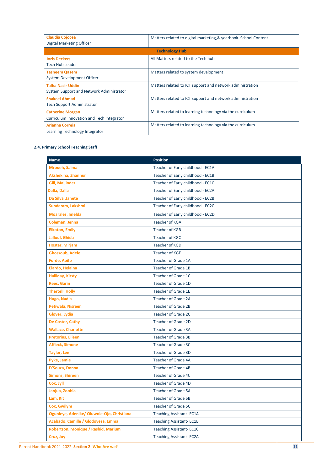| <b>Claudia Cojocea</b><br>Digital Marketing Officer                  | Matters related to digital marketing, & yearbook. School Content |
|----------------------------------------------------------------------|------------------------------------------------------------------|
|                                                                      | <b>Technology Hub</b>                                            |
| <b>Joris Deckers</b><br>Tech Hub Leader                              | All Matters related to the Tech hub                              |
| <b>Tasneem Qasem</b><br>System Development Officer                   | Matters related to system development                            |
| <b>Talha Nasir Uddin</b><br>System Support and Network Administrator | Matters related to ICT support and network administration        |
| <b>Shakeel Ahmad</b><br><b>Tech Support Administrator</b>            | Matters related to ICT support and network administration        |
| <b>Catherine Morgan</b><br>Curriculum Innovation and Tech Integrator | Matters related to learning technology via the curriculum        |
| Arianna Correia<br>Learning Technology Integrator                    | Matters related to learning technology via the curriculum        |

## **2.4. Primary School Teaching Staff**

| <b>Name</b>                                | <b>Position</b>                   |
|--------------------------------------------|-----------------------------------|
| Mroueh, Salma                              | Teacher of Early childhood - EC1A |
| Akshekina, Zhannur                         | Teacher of Early childhood - EC1B |
| <b>Gill, Maljinder</b>                     | Teacher of Early childhood - EC1C |
| Dalla, Dalla                               | Teacher of Early childhood - EC2A |
| Da Silva , Janete                          | Teacher of Early childhood - EC2B |
| Sundaram, Lakshmi                          | Teacher of Early childhood - EC2C |
| <b>Moarales, Imelda</b>                    | Teacher of Early childhood - EC2D |
| Coleman, Jenna                             | <b>Teacher of KGA</b>             |
| <b>Elkoton, Emily</b>                      | <b>Teacher of KGB</b>             |
| Jalloul, Ghida                             | <b>Teacher of KGC</b>             |
| <b>Hoster, Mirjam</b>                      | Teacher of KGD                    |
| <b>Ghossoub, Adele</b>                     | <b>Teacher of KGE</b>             |
| <b>Forde, Aoife</b>                        | Teacher of Grade 1A               |
| Elardo, Helaina                            | <b>Teacher of Grade 1B</b>        |
| <b>Halliday, Kirsty</b>                    | Teacher of Grade 1C               |
| <b>Rees, Garin</b>                         | Teacher of Grade 1D               |
| <b>Thertell, Holly</b>                     | <b>Teacher of Grade 1E</b>        |
| Hugo, Nadia                                | Teacher of Grade 2A               |
| Petiwala, Nisreen                          | <b>Teacher of Grade 2B</b>        |
| Glover, Lydia                              | Teacher of Grade 2C               |
| De Coster, Cathy                           | <b>Teacher of Grade 2D</b>        |
| <b>Wallace, Charlotte</b>                  | Teacher of Grade 3A               |
| <b>Pretorius, Eileen</b>                   | <b>Teacher of Grade 3B</b>        |
| <b>Affleck, Simone</b>                     | Teacher of Grade 3C               |
| <b>Taylor, Lee</b>                         | Teacher of Grade 3D               |
| Pyke, Jamie                                | Teacher of Grade 4A               |
| D'Souza, Donna                             | <b>Teacher of Grade 4B</b>        |
| <b>Simons, Shireen</b>                     | Teacher of Grade 4C               |
| Cox, Jyll                                  | Teacher of Grade 4D               |
| Janjua, Zoobia                             | <b>Teacher of Grade 5A</b>        |
| Lam, Kit                                   | <b>Teacher of Grade 5B</b>        |
| Cox, Gwilym                                | Teacher of Grade 5C               |
| Ogunleye, Adenike/ Oluwole-Ojo, Christiana | <b>Teaching Assistant-EC1A</b>    |
| Acabado, Camille / Glodoveza, Emma         | <b>Teaching Assistant-EC1B</b>    |
| Robertson, Monique / Rashid, Marium        | <b>Teaching Assistant-EC1C</b>    |
| Cruz, Joy                                  | <b>Teaching Assistant-EC2A</b>    |

Parent Handbook 2021-2022 **Section 2: Who Are we? 11**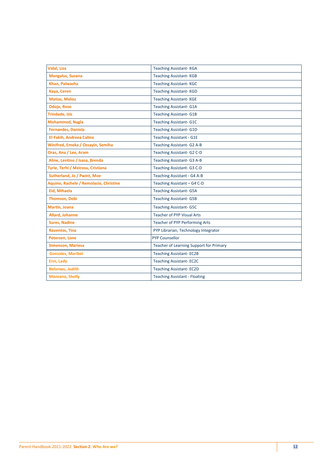| <b>Vidal, Liza</b>                     | <b>Teaching Assistant-KGA</b>           |
|----------------------------------------|-----------------------------------------|
| <b>Mangalus, Susana</b>                | <b>Teaching Assistant-KGB</b>           |
| Khan, Palwasha                         | <b>Teaching Assistant-KGC</b>           |
| Kaya, Ceren                            | <b>Teaching Assistant-KGD</b>           |
| <b>Matias, Malou</b>                   | <b>Teaching Assistant-KGE</b>           |
| <b>Odoje, Rose</b>                     | <b>Teaching Assistant- G1A</b>          |
| <b>Trindade, Izis</b>                  | <b>Teaching Assistant- G1B</b>          |
| <b>Mohammed, Nagla</b>                 | <b>Teaching Assistant- G1C</b>          |
| <b>Fernandes, Daniela</b>              | <b>Teaching Assistant-G1D</b>           |
| El-Fakih, Andreea Calina               | <b>Teaching Assistant - G1E</b>         |
| Winifred, Emeka / Ozsayin, Semiha      | Teaching Assistant- G2 A-B              |
| Oras, Ana / Lee, Aram                  | Teaching Assistant- G2 C-D              |
| Aline, Lentino / Isasa, Brenda         | Teaching Assistant- G3 A-B              |
| Tyrie, Terhi / Meirosu, Cristiana      | Teaching Assistant- G3 C-D              |
| Sutherland, Jo / Pwint, Moe            | Teaching Assistant - G4 A-B             |
| Aquino, Rachele / Remolacio, Christine | Teaching Assistant - G4 C-D             |
| Eid, Mihaela                           | <b>Teaching Assistant- G5A</b>          |
| <b>Thomson, Debi</b>                   | <b>Teaching Assistant- G5B</b>          |
| <b>Martin, Joana</b>                   | <b>Teaching Assistant- G5C</b>          |
| Allard, Johanne                        | Teacher of PYP Visual Arts              |
| <b>Sures, Nadine</b>                   | Teacher of PYP Performing Arts          |
| <b>Raventos, Tina</b>                  | PYP Librarian, Technology Integrator    |
| Petersen, Lone                         | <b>PYP Counsellor</b>                   |
| <b>Simenson, Mariesa</b>               | Teacher of Learning Support for Primary |
| <b>Gonzales, Maribel</b>               | <b>Teaching Assistant-EC2B</b>          |
| Erni, Lady                             | <b>Teaching Assistant-EC2C</b>          |
| <b>Belonwu, Judith</b>                 | <b>Teaching Assistant-EC2D</b>          |
| <b>Manzano, Shelly</b>                 | <b>Teaching Assistant - Floating</b>    |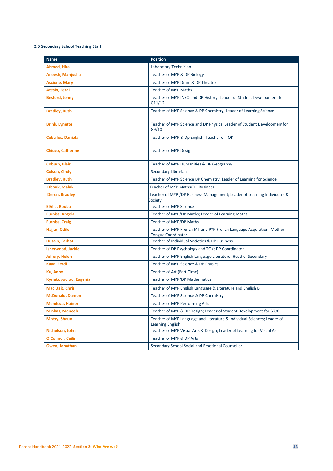# **2.5 Secondary School Teaching Staff**

| <b>Name</b>              | <b>Position</b>                                                                                    |
|--------------------------|----------------------------------------------------------------------------------------------------|
| Ahmed, Hira              | Laboratory Technician                                                                              |
| Aneesh, Manjusha         | Teacher of MYP & DP Biology                                                                        |
| <b>Ascione, Mary</b>     | Teacher of MYP Dram & DP Theatre                                                                   |
| <b>Atesin, Ferdi</b>     | <b>Teacher of MYP Maths</b>                                                                        |
| <b>Besford, Jenny</b>    | Teacher of MYP INSO and DP History; Leader of Student Development for<br>G11/12                    |
| <b>Bradley, Ruth</b>     | Teacher of MYP Science & DP Chemistry; Leader of Learning Science                                  |
| <b>Brink, Lynette</b>    | Teacher of MYP Science and DP Physics; Leader of Student Developmentfor<br>G9/10                   |
| <b>Ceballos, Daniela</b> | Teacher of MYP & Dp English, Teacher of TOK                                                        |
| <b>Chiuco, Catherine</b> | <b>Teacher of MYP Design</b>                                                                       |
| Coburn, Blair            | Teacher of MYP Humanities & DP Geography                                                           |
| <b>Colson, Cindy</b>     | Secondary Librarian                                                                                |
| <b>Bradley, Ruth</b>     | Teacher of MYP Science DP Chemistry, Leader of Learning for Science                                |
| <b>Dbouk, Malak</b>      | Teacher of MYP Maths/DP Business                                                                   |
| <b>Deren, Bradley</b>    | Teacher of MYP /DP Business Management; Leader of Learning Individuals &<br>Society                |
| <b>ElAlia, Rouba</b>     | <b>Teacher of MYP Science</b>                                                                      |
| <b>Furniss, Angela</b>   | Teacher of MYP/DP Maths; Leader of Learning Maths                                                  |
| <b>Furniss, Craig</b>    | Teacher of MYP/DP Maths                                                                            |
| Hajjar, Odile            | Teacher of MYP French MT and PYP French Language Acquisition; Mother<br><b>Tongue Coordinator</b>  |
| Husain, Farhat           | Teacher of Individual Societies & DP Business                                                      |
| Isherwood, Jackie        | Teacher of DP Psychology and TOK; DP Coordinator                                                   |
| Jeffery, Helen           | Teacher of MYP English Language Literature; Head of Secondary                                      |
| Kaya, Ferdi              | Teacher of MYP Science & DP Physics                                                                |
| <b>Ku, Anny</b>          | Teacher of Art (Part-Time)                                                                         |
| Kyriakopoulou, Eugenia   | Teacher of MYP/DP Mathematics                                                                      |
| <b>Mac Uait, Chris</b>   | Teacher of MYP English Language & Literature and English B                                         |
| <b>McDonald, Damon</b>   | Teacher of MYP Science & DP Chemistry                                                              |
| <b>Mendoza, Hainer</b>   | Teacher of MYP Performing Arts                                                                     |
| <b>Minhas, Moneeb</b>    | Teacher of MYP & DP Design; Leader of Student Development for G7/8                                 |
| <b>Mistry, Shaun</b>     | Teacher of MYP Language and Literature & Individual Sciences; Leader of<br><b>Learning English</b> |
| Nicholson, John          | Teacher of MYP Visual Arts & Design; Leader of Learning for Visual Arts                            |
| O'Connor, Cailin         | Teacher of MYP & DP Arts                                                                           |
| Owen, Jonathan           | Secondary School Social and Emotional Counsellor                                                   |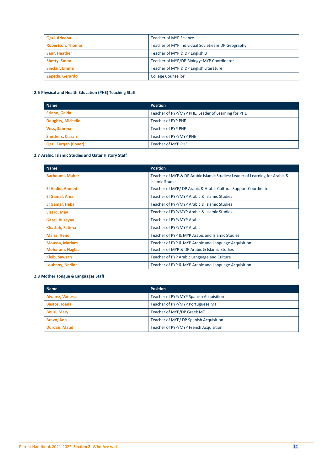| Qazi, Adeeba             | Teacher of MYP Science                             |
|--------------------------|----------------------------------------------------|
| <b>Robertson, Thomas</b> | Teacher of MYP Individual Societies & DP Geography |
| Saur, Heather            | Teacher of MYP & DP English B                      |
| <b>Shetty, Smita</b>     | Teacher of MYP/DP Biology; MYP Coordinator         |
| Sinclair, Emma           | Teacher of MYP & DP English Literature             |
| Zepeda, Gerardo          | <b>College Counsellor</b>                          |

# **2.6 Physical and Health Education (PHE) Teaching Staff**

| <b>Name</b>              | <b>Position</b>                                    |
|--------------------------|----------------------------------------------------|
| <b>Erlano, Gaida</b>     | Teacher of PYP/MYP PHE, Leader of Learning for PHE |
| <b>Doughty, Michelle</b> | Teacher of PYP PHE                                 |
| <b>Voss, Sabrina</b>     | Teacher of PYP PHE                                 |
| <b>Smithers, Ciaran</b>  | Teacher of PYP/MYP PHE                             |
| Qazi, Furgan (Cover)     | <b>Teacher of MYP PHE</b>                          |

### **2.7 Arabic, Islamic Studies and Qatar History Staff**

| <b>Name</b>            | <b>Position</b>                                                                                       |
|------------------------|-------------------------------------------------------------------------------------------------------|
| <b>Barhoumi, Maher</b> | Teacher of MYP & DP Arabic Islamic Studies; Leader of Learning for Arabic &<br><b>Islamic Studies</b> |
| <b>El Hadid, Ahmed</b> | Teacher of MYP/ DP Arabic & Arabic Cultural Support Coordinator                                       |
| El Gamal, Amal         | Teacher of PYP/MYP Arabic & Islamic Studies                                                           |
| El Gamal, Heba         | Teacher of PYP/MYP Arabic & Islamic Studies                                                           |
| <b>Elzard, May</b>     | Teacher of PYP/MYP Arabic & Islamic Studies                                                           |
| Gazal, Buseyna         | Teacher of PYP/MYP Arabic                                                                             |
| Khattab, Fatima        | Teacher of PYP/MYP Arabic                                                                             |
| Maria, Hend            | Teacher of PYP & MYP Arabic and Islamic Studies                                                       |
| <b>Moussa, Mariam</b>  | Teacher of PYP & MYP Arabic and Language Acquisition                                                  |
| <b>Moharam, Naglaa</b> | Teacher of MYP & DP Arabic & Islamic Studies                                                          |
| <b>Kleib, Sawsan</b>   | Teacher of PYP Arabic Language and Culture                                                            |
| <b>Loubany, Nadine</b> | Teacher of PYP & MYP Arabic and Language Acquisition                                                  |

### **2.8 Mother Tongue & Languages Staff**

| <b>Name</b>          | <b>Position</b>                        |
|----------------------|----------------------------------------|
| Alvarez, Vanessa     | Teacher of PYP/MYP Spanish Acquisition |
| <b>Bastos, Joana</b> | Teacher of PYP/MYP Portuguese MT       |
| <b>Bouri, Mary</b>   | Teacher of MYP/DP Greek MT             |
| Bravo, Ana           | Teacher of MYP/ DP Spanish Acquisition |
| Durdan, Maud         | Teacher of PYP/MYP French Acquisition  |